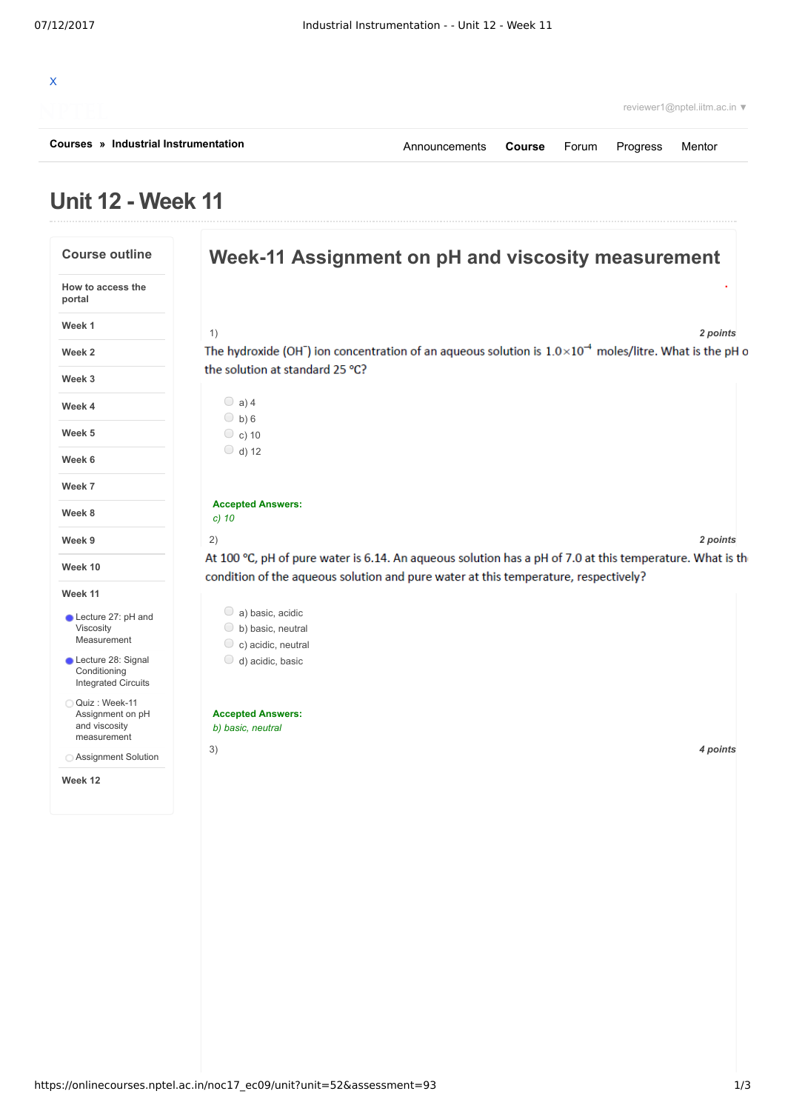| Courses » Industrial Instrumentation | Announcements <b>Course</b> Forum |  | Progress | Mentor                       |  |
|--------------------------------------|-----------------------------------|--|----------|------------------------------|--|
|                                      |                                   |  |          | reviewer1@nptel.iitm.ac.in ▼ |  |
|                                      |                                   |  |          |                              |  |

## **Unit 12 - Week 11**

| <b>Course outline</b>                                             | Week-11 Assignment on pH and viscosity measurement                                                                                                                                               |
|-------------------------------------------------------------------|--------------------------------------------------------------------------------------------------------------------------------------------------------------------------------------------------|
| How to access the<br>portal                                       |                                                                                                                                                                                                  |
| Week 1                                                            | 2 points<br>1)                                                                                                                                                                                   |
| Week 2                                                            | The hydroxide (OH <sup>-</sup> ) ion concentration of an aqueous solution is $1.0 \times 10^{-4}$ moles/litre. What is the pH o                                                                  |
| Week 3                                                            | the solution at standard 25 °C?                                                                                                                                                                  |
| Week 4                                                            | $\bigcirc$ a) 4<br>$\bigcirc$ b) 6                                                                                                                                                               |
| Week 5                                                            | $\circ$ c) 10                                                                                                                                                                                    |
| Week 6                                                            | $\bigcirc$ d) 12                                                                                                                                                                                 |
| Week 7                                                            |                                                                                                                                                                                                  |
| Week 8                                                            | <b>Accepted Answers:</b><br>$c)$ 10                                                                                                                                                              |
| Week 9                                                            | 2 points<br>2)                                                                                                                                                                                   |
| Week 10                                                           | At 100 °C, pH of pure water is 6.14. An aqueous solution has a pH of 7.0 at this temperature. What is the<br>condition of the aqueous solution and pure water at this temperature, respectively? |
| Week 11                                                           |                                                                                                                                                                                                  |
| Lecture 27: pH and<br>Viscosity<br>Measurement                    | $\circ$ a) basic, acidic<br>$\circ$ b) basic, neutral<br>$\circ$ c) acidic, neutral                                                                                                              |
| Lecture 28: Signal<br>Conditioning<br><b>Integrated Circuits</b>  | $\bigcirc$ d) acidic, basic                                                                                                                                                                      |
| Quiz: Week-11<br>Assignment on pH<br>and viscosity<br>measurement | <b>Accepted Answers:</b><br>b) basic, neutral                                                                                                                                                    |
| ◯ Assignment Solution                                             | 3)<br>4 points                                                                                                                                                                                   |
| Week 12                                                           |                                                                                                                                                                                                  |
|                                                                   |                                                                                                                                                                                                  |
|                                                                   |                                                                                                                                                                                                  |
|                                                                   |                                                                                                                                                                                                  |
|                                                                   |                                                                                                                                                                                                  |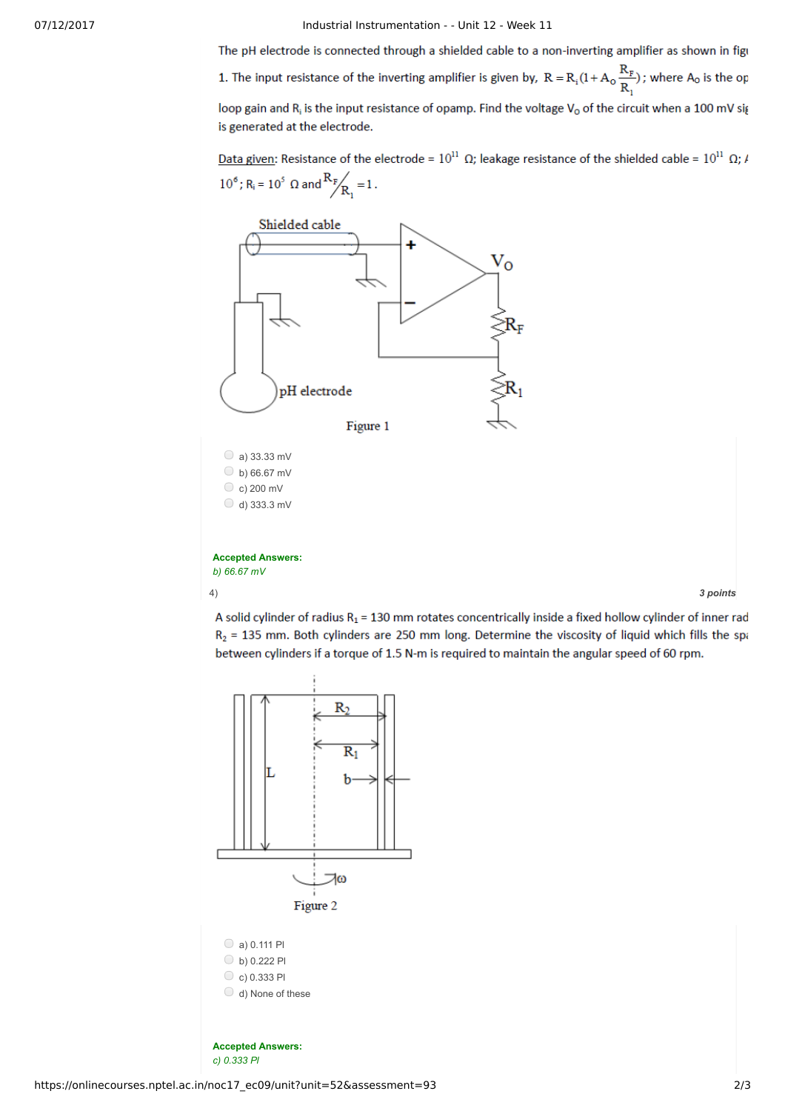07/12/2017 Industrial Instrumentation - - Unit 12 - Week 11

The pH electrode is connected through a shielded cable to a non-inverting amplifier as shown in figu

1. The input resistance of the inverting amplifier is given by,  $R = R_i(1 + A_o \frac{R_F}{R_i})$ ; where  $A_o$  is the op

loop gain and R<sub>i</sub> is the input resistance of opamp. Find the voltage V<sub>o</sub> of the circuit when a 100 mV sig is generated at the electrode.

Data given: Resistance of the electrode =  $10^{11}$  Q; leakage resistance of the shielded cable =  $10^{11}$  Q;  $\mu$  $10^6$ ; R<sub>i</sub> =  $10^5$  Q and  $\frac{R_F}{R_i} = 1$ .



**Accepted Answers:** *b) 66.67 mV*

4) *3 points*

A solid cylinder of radius  $R_1$  = 130 mm rotates concentrically inside a fixed hollow cylinder of inner rad  $R_2$  = 135 mm. Both cylinders are 250 mm long. Determine the viscosity of liquid which fills the spa between cylinders if a torque of 1.5 N-m is required to maintain the angular speed of 60 rpm.



**Accepted Answers:** *c) 0.333 Pl*